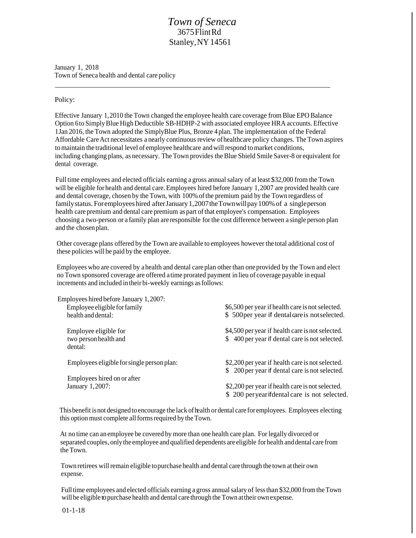## *Town of Seneca* 3675FlintRd Stanley, NY 14561

January 1, 2018 Town of Seneca health and dental care policy

## Policy:

Effective January 1,2010 the Town changed the employee health care coverage from Blue EPO Balance Option 6to SimplyBlue High Deductible SB-HDHP-2 with associated employee HRA accounts. Effective 1Jan 2016, the Town adopted the SimplyBlue Plus, Bronze 4 plan. The implementation ofthe Federal Affordable Care Act necessitates a nearly continuous review of healthcare policy changes. The Town aspires to maintain the traditional level of employee healthcare andwillrespond tomarket conditions, including changing plans, as necessary. The Town provides the Blue Shield Smile Saver-8 or equivalent for dental coverage.

Full time employees and elected officials earning a gross annualsalary of at least \$32,000 from the Town will be eligible for health and dental care. Employees hired before January 1,2007 are provided health care and dental coverage, chosen by the Town, with 100% ofthe premium paid by the Town regardless of family status. For employees hired after January 1,2007 the Town will pay 100% of a single person health care premium and dental care premium as part ofthat employee's compensation. Employees choosing a two-person or a family plan are responsible forthe cost difference between a single person plan and the chosenplan.

Other coverage plans offered by the Town are available to employees however the total additional cost of these policies will be paid by the employee.

Employees who are covered by ahealth and dental care plan other than one provided by the Town and elect no Town sponsored coverage are offered atime prorated payment in lieu of coverage payable in equal increments and included intheir bi-weekly earnings asfollows:

| Employees hired before January 1,2007:     |                                                  |
|--------------------------------------------|--------------------------------------------------|
| Employee eligible for family               | \$6,500 per year if health care is not selected. |
| health and dental:                         | \$500 per year if dental care is not selected.   |
| Employee eligible for                      | \$4,500 per year if health care is not selected. |
| two person health and                      | \$ 400 per year if dental care is not selected.  |
| dental:                                    |                                                  |
| Employees eligible for single person plan: | \$2,200 per year if health care is not selected. |
|                                            | \$ 200 per year if dental care is not selected.  |
| Employees hired on or after                |                                                  |
| January 1,2007:                            | \$2,200 per year if health care is not selected. |
|                                            | \$ 200 per year if dental care is not selected.  |

This benefit is not designed to encourage the lack of health or dental care for employees. Employees electing this option must complete all forms required by the Town.

At no time can an employee be covered by more than one health care plan. For legally divorced or separated couples, onlythe employee and qualified dependents are eligible for health anddental care from the Town.

Town retirees will remain eligible to purchase health and dental care through the town at their own expense.

Full time employees and elected officials earning a gross annual salary of less than \$32,000 from the Town will be eligible to purchase health and dental care through the Town at their own expense.